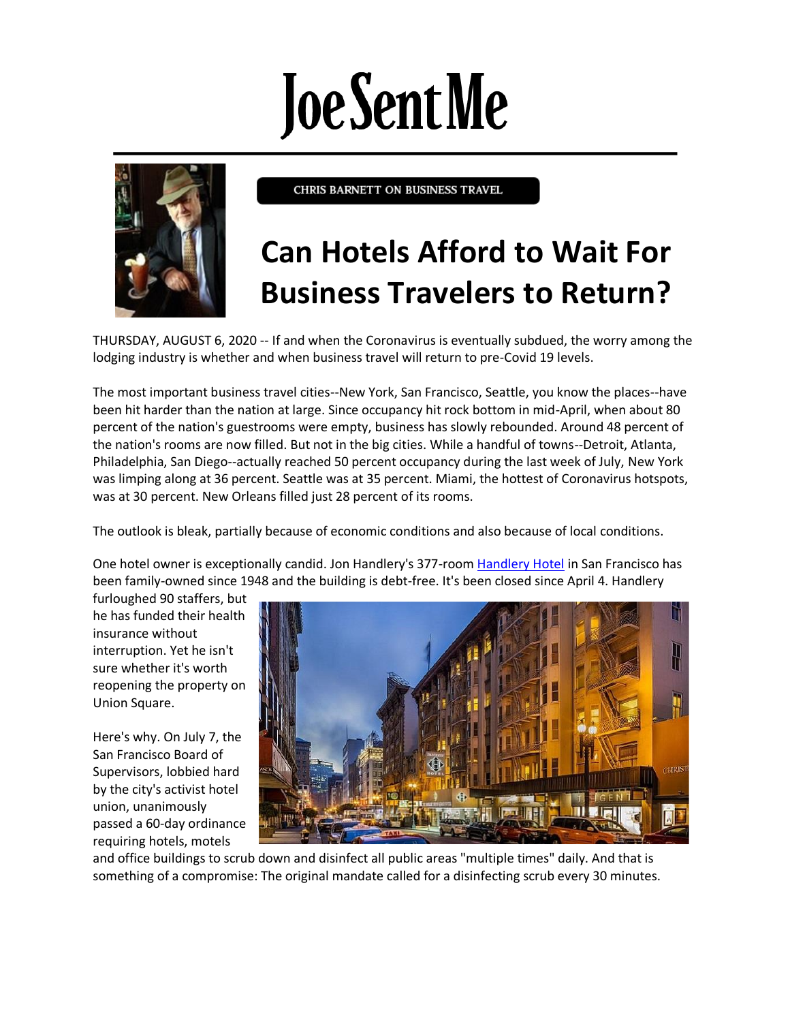## **Joe Sent Me**



CHRIS BARNETT ON BUSINESS TRAVEL

## **Can Hotels Afford to Wait For Business Travelers to Return?**

THURSDAY, AUGUST 6, 2020 -- If and when the Coronavirus is eventually subdued, the worry among the lodging industry is whether and when business travel will return to pre-Covid 19 levels.

The most important business travel cities--New York, San Francisco, Seattle, you know the places--have been hit harder than the nation at large. Since occupancy hit rock bottom in mid-April, when about 80 percent of the nation's guestrooms were empty, business has slowly rebounded. Around 48 percent of the nation's rooms are now filled. But not in the big cities. While a handful of towns--Detroit, Atlanta, Philadelphia, San Diego--actually reached 50 percent occupancy during the last week of July, New York was limping along at 36 percent. Seattle was at 35 percent. Miami, the hottest of Coronavirus hotspots, was at 30 percent. New Orleans filled just 28 percent of its rooms.

The outlook is bleak, partially because of economic conditions and also because of local conditions.

One hotel owner is exceptionally candid. Jon Handlery's 377-room [Handlery Hotel](https://sf.handlery.com/) in San Francisco has been family-owned since 1948 and the building is debt-free. It's been closed since April 4. Handlery

furloughed 90 staffers, but he has funded their health insurance without interruption. Yet he isn't sure whether it's worth reopening the property on Union Square.

Here's why. On July 7, the San Francisco Board of Supervisors, lobbied hard by the city's activist hotel union, unanimously passed a 60-day ordinance requiring hotels, motels



and office buildings to scrub down and disinfect all public areas "multiple times" daily. And that is something of a compromise: The original mandate called for a disinfecting scrub every 30 minutes.